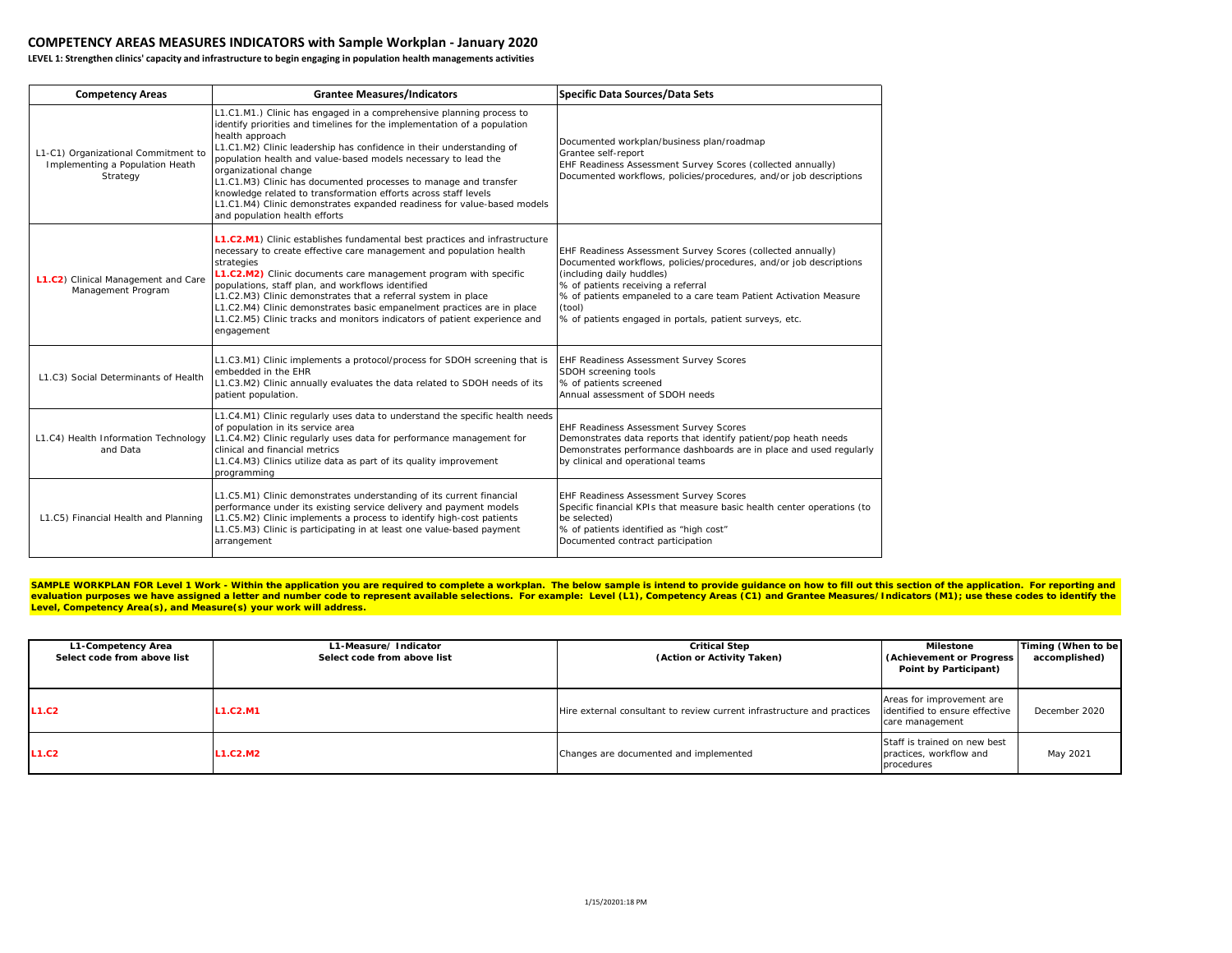## **COMPETENCY AREAS MEASURES INDICATORS with Sample Workplan - January 2020**

**LEVEL 1: Strengthen clinics' capacity and infrastructure to begin engaging in population health managements activities**

| <b>Competency Areas</b>                                                            | <b>Grantee Measures/Indicators</b>                                                                                                                                                                                                                                                                                                                                                                                                                                                                                                                                                        | <b>Specific Data Sources/Data Sets</b>                                                                                                                                                                                                                                                                                                         |
|------------------------------------------------------------------------------------|-------------------------------------------------------------------------------------------------------------------------------------------------------------------------------------------------------------------------------------------------------------------------------------------------------------------------------------------------------------------------------------------------------------------------------------------------------------------------------------------------------------------------------------------------------------------------------------------|------------------------------------------------------------------------------------------------------------------------------------------------------------------------------------------------------------------------------------------------------------------------------------------------------------------------------------------------|
| L1-C1) Organizational Commitment to<br>Implementing a Population Heath<br>Strategy | L1.C1.M1.) Clinic has engaged in a comprehensive planning process to<br>identify priorities and timelines for the implementation of a population<br>health approach<br>L1.C1.M2) Clinic leadership has confidence in their understanding of<br>population health and value-based models necessary to lead the<br>organizational change<br>L1.C1.M3) Clinic has documented processes to manage and transfer<br>knowledge related to transformation efforts across staff levels<br>L1.C1.M4) Clinic demonstrates expanded readiness for value-based models<br>and population health efforts | Documented workplan/business plan/roadmap<br>Grantee self-report<br>EHF Readiness Assessment Survey Scores (collected annually)<br>Documented workflows, policies/procedures, and/or job descriptions                                                                                                                                          |
| L1.C2) Clinical Management and Care<br>Management Program                          | L1.C2.M1) Clinic establishes fundamental best practices and infrastructure<br>necessary to create effective care management and population health<br>strategies<br>L1.C2.M2) Clinic documents care management program with specific<br>populations, staff plan, and workflows identified<br>L1.C2.M3) Clinic demonstrates that a referral system in place<br>L1.C2.M4) Clinic demonstrates basic empanelment practices are in place<br>L1.C2.M5) Clinic tracks and monitors indicators of patient experience and<br>engagement                                                            | EHF Readiness Assessment Survey Scores (collected annually)<br>Documented workflows, policies/procedures, and/or job descriptions<br>(including daily huddles)<br>% of patients receiving a referral<br>% of patients empaneled to a care team Patient Activation Measure<br>(tool)<br>% of patients engaged in portals, patient surveys, etc. |
| L1.C3) Social Determinants of Health                                               | L1.C3.M1) Clinic implements a protocol/process for SDOH screening that is<br>embedded in the EHR<br>L1.C3.M2) Clinic annually evaluates the data related to SDOH needs of its<br>patient population.                                                                                                                                                                                                                                                                                                                                                                                      | EHF Readiness Assessment Survey Scores<br>SDOH screening tools<br>% of patients screened<br>Annual assessment of SDOH needs                                                                                                                                                                                                                    |
| L1.C4) Health Information Technology<br>and Data                                   | L1.C4.M1) Clinic regularly uses data to understand the specific health needs<br>of population in its service area<br>L1.C4.M2) Clinic regularly uses data for performance management for<br>clinical and financial metrics<br>L1.C4.M3) Clinics utilize data as part of its quality improvement<br>programming                                                                                                                                                                                                                                                                            | <b>EHF Readiness Assessment Survey Scores</b><br>Demonstrates data reports that identify patient/pop heath needs<br>Demonstrates performance dashboards are in place and used regularly<br>by clinical and operational teams                                                                                                                   |
| L1.C5) Financial Health and Planning                                               | L1.C5.M1) Clinic demonstrates understanding of its current financial<br>performance under its existing service delivery and payment models<br>L1.C5.M2) Clinic implements a process to identify high-cost patients<br>L1.C5.M3) Clinic is participating in at least one value-based payment<br>arrangement                                                                                                                                                                                                                                                                                | EHF Readiness Assessment Survey Scores<br>Specific financial KPIs that measure basic health center operations (to<br>be selected)<br>% of patients identified as "high cost"<br>Documented contract participation                                                                                                                              |

SAMPLE WORKPLAN FOR Level 1 Work - Within the application you are required to complete a workplan. The below sample is intend to provide guidance on how to fill out this section of the application. For reporting and evaluation purposes we have assigned a letter and number code to represent available selections. For example: Level (L1), Competency Areas (C1) and Grantee Measures/Indicators (M1); use these codes to identify the **Level, Competency Area(s), and Measure(s) your work will address.** 

| L1-Competency Area<br>Select code from above list | L1-Measure/Indicator<br>Select code from above list | <b>Critical Step</b><br>(Action or Activity Taken)                      | Milestone<br>(Achievement or Progress<br>Point by Participant)                 | Timing (When to be<br>accomplished) |
|---------------------------------------------------|-----------------------------------------------------|-------------------------------------------------------------------------|--------------------------------------------------------------------------------|-------------------------------------|
| L1.C2                                             | L1.C2.M1                                            | Hire external consultant to review current infrastructure and practices | Areas for improvement are<br>identified to ensure effective<br>care management | December 2020                       |
| L1.C2                                             | L1.C2.M2                                            | Changes are documented and implemented                                  | Staff is trained on new best<br>practices, workflow and<br>procedures          | May 2021                            |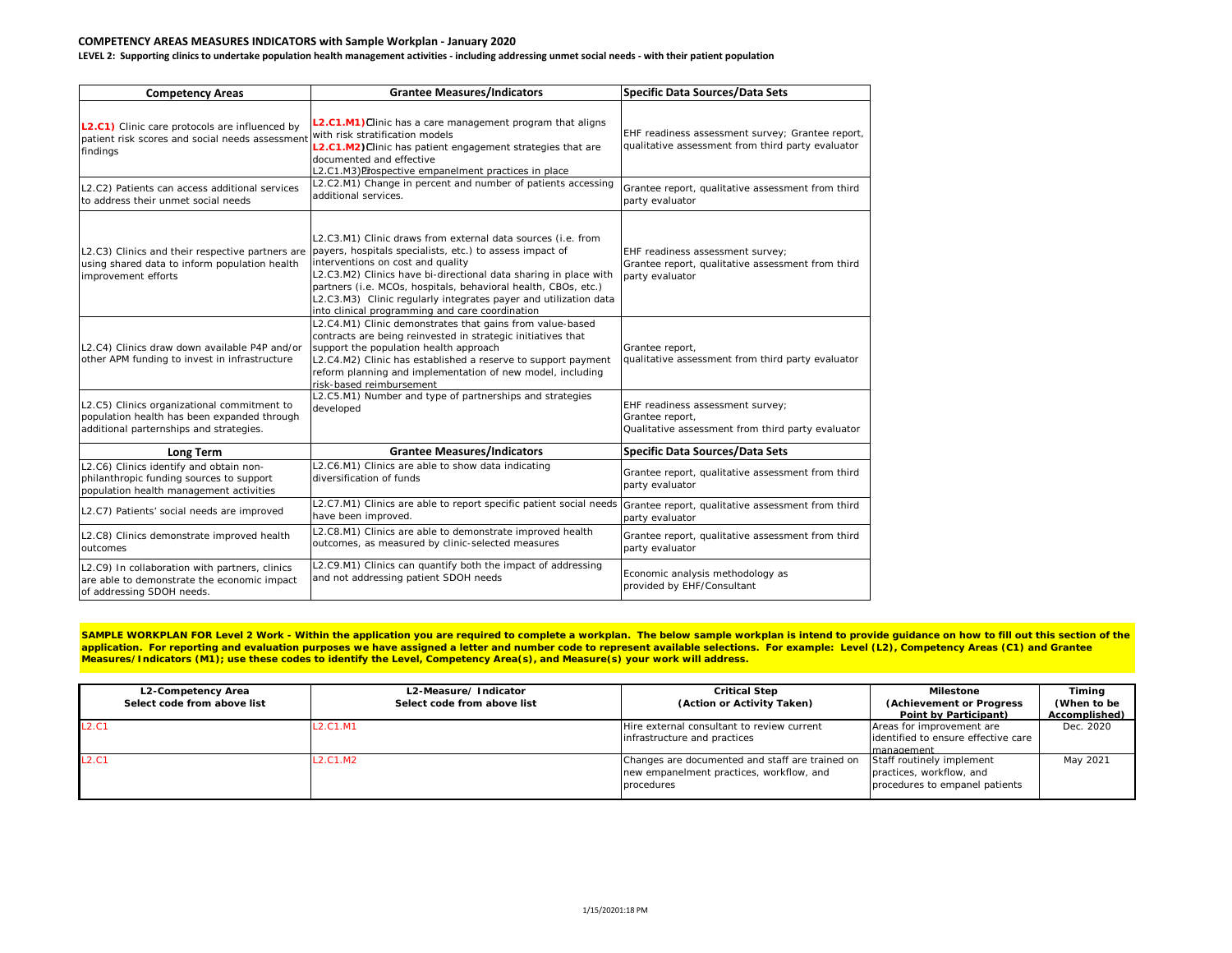## **COMPETENCY AREAS MEASURES INDICATORS with Sample Workplan - January 2020**

**LEVEL 2: Supporting clinics to undertake population health management activities - including addressing unmet social needs - with their patient population**

| <b>Competency Areas</b>                                                                                                               | <b>Grantee Measures/Indicators</b>                                                                                                                                                                                                                                                                                                                                                                                         | <b>Specific Data Sources/Data Sets</b>                                                                   |
|---------------------------------------------------------------------------------------------------------------------------------------|----------------------------------------------------------------------------------------------------------------------------------------------------------------------------------------------------------------------------------------------------------------------------------------------------------------------------------------------------------------------------------------------------------------------------|----------------------------------------------------------------------------------------------------------|
| L2.C1) Clinic care protocols are influenced by<br>patient risk scores and social needs assessment<br>findings                         | L2.C1.M1) Clinic has a care management program that aligns<br>with risk stratification models<br>L2.C1.M2) Clinic has patient engagement strategies that are<br>documented and effective<br>L2.C1.M3) Prospective empanelment practices in place                                                                                                                                                                           | EHF readiness assessment survey; Grantee report,<br>qualitative assessment from third party evaluator    |
| L2.C2) Patients can access additional services<br>to address their unmet social needs                                                 | L2.C2.M1) Change in percent and number of patients accessing<br>additional services.                                                                                                                                                                                                                                                                                                                                       | Grantee report, qualitative assessment from third<br>party evaluator                                     |
| L2.C3) Clinics and their respective partners are<br>using shared data to inform population health<br>improvement efforts              | L2.C3.M1) Clinic draws from external data sources (i.e. from<br>payers, hospitals specialists, etc.) to assess impact of<br>interventions on cost and quality<br>L2.C3.M2) Clinics have bi-directional data sharing in place with<br>partners (i.e. MCOs, hospitals, behavioral health, CBOs, etc.)<br>L2.C3.M3) Clinic regularly integrates payer and utilization data<br>into clinical programming and care coordination | EHF readiness assessment survey;<br>Grantee report, qualitative assessment from third<br>party evaluator |
| L2.C4) Clinics draw down available P4P and/or<br>other APM funding to invest in infrastructure                                        | L2.C4.M1) Clinic demonstrates that gains from value-based<br>contracts are being reinvested in strategic initiatives that<br>support the population health approach<br>L2.C4.M2) Clinic has established a reserve to support payment<br>reform planning and implementation of new model, including<br>risk-based reimbursement                                                                                             | Grantee report,<br>qualitative assessment from third party evaluator                                     |
| L2.C5) Clinics organizational commitment to<br>population health has been expanded through<br>additional parternships and strategies. | L2.C5.M1) Number and type of partnerships and strategies<br>developed                                                                                                                                                                                                                                                                                                                                                      | EHF readiness assessment survey;<br>Grantee report,<br>Qualitative assessment from third party evaluator |
| <b>Long Term</b>                                                                                                                      | <b>Grantee Measures/Indicators</b>                                                                                                                                                                                                                                                                                                                                                                                         | Specific Data Sources/Data Sets                                                                          |
| L2.C6) Clinics identify and obtain non-<br>philanthropic funding sources to support<br>population health management activities        | L2.C6.M1) Clinics are able to show data indicating<br>diversification of funds                                                                                                                                                                                                                                                                                                                                             | Grantee report, qualitative assessment from third<br>party evaluator                                     |
| L2.C7) Patients' social needs are improved                                                                                            | L2.C7.M1) Clinics are able to report specific patient social needs Grantee report, qualitative assessment from third<br>have been improved.                                                                                                                                                                                                                                                                                | party evaluator                                                                                          |
| L2.C8) Clinics demonstrate improved health<br>outcomes                                                                                | L2.C8.M1) Clinics are able to demonstrate improved health<br>outcomes, as measured by clinic-selected measures                                                                                                                                                                                                                                                                                                             | Grantee report, qualitative assessment from third<br>party evaluator                                     |
| L2.C9) In collaboration with partners, clinics<br>are able to demonstrate the economic impact<br>of addressing SDOH needs.            | L2.C9.M1) Clinics can quantify both the impact of addressing<br>and not addressing patient SDOH needs                                                                                                                                                                                                                                                                                                                      | Economic analysis methodology as<br>provided by EHF/Consultant                                           |

SAMPLE WORKPLAN FOR Level 2 Work - Within the application you are required to complete a workplan. The below sample workplan is intend to provide guidance on how to fill out this section of the application. For reporting and evaluation purposes we have assigned a letter and number code to represent available selections. For example: Level (L2), Competency Areas (C1) and Grantee **Measures/Indicators (M1); use these codes to identify the Level, Competency Area(s), and Measure(s) your work will address.** 

| L2-Competency Area          | L2-Measure/Indicator                           | <b>Critical Step</b>                                                                                      | Milestone                                                                               | Timing        |
|-----------------------------|------------------------------------------------|-----------------------------------------------------------------------------------------------------------|-----------------------------------------------------------------------------------------|---------------|
| Select code from above list | Select code from above list                    | (Action or Activity Taken)                                                                                | (Achievement or Progress)                                                               | (When to be   |
|                             |                                                |                                                                                                           | Point by Participant)                                                                   | Accomplished) |
| L2.C1                       | L2.C1.M1                                       | Hire external consultant to review current                                                                | Areas for improvement are                                                               | Dec. 2020     |
|                             |                                                | infrastructure and practices                                                                              | lidentified to ensure effective care                                                    |               |
|                             |                                                |                                                                                                           | Imanagement                                                                             |               |
| <b>L2.C1</b>                | L <sub>2</sub> .C <sub>1</sub> .M <sub>2</sub> | Changes are documented and staff are trained on<br>new empanelment practices, workflow, and<br>procedures | Staff routinely implement<br>practices, workflow, and<br>procedures to empanel patients | May 2021      |